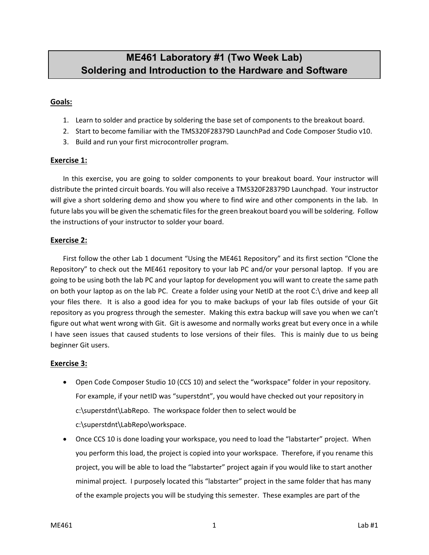# **ME461 Laboratory #1 (Two Week Lab) Soldering and Introduction to the Hardware and Software**

# **Goals:**

- 1. Learn to solder and practice by soldering the base set of components to the breakout board.
- 2. Start to become familiar with the TMS320F28379D LaunchPad and Code Composer Studio v10.
- 3. Build and run your first microcontroller program.

#### **Exercise 1:**

In this exercise, you are going to solder components to your breakout board. Your instructor will distribute the printed circuit boards. You will also receive a TMS320F28379D Launchpad. Your instructor will give a short soldering demo and show you where to find wire and other components in the lab. In future labs you will be given the schematic files for the green breakout board you will be soldering. Follow the instructions of your instructor to solder your board.

#### **Exercise 2:**

First follow the other Lab 1 document "Using the ME461 Repository" and its first section "Clone the Repository" to check out the ME461 repository to your lab PC and/or your personal laptop. If you are going to be using both the lab PC and your laptop for development you will want to create the same path on both your laptop as on the lab PC. Create a folder using your NetID at the root C:\ drive and keep all your files there. It is also a good idea for you to make backups of your lab files outside of your Git repository as you progress through the semester. Making this extra backup will save you when we can't figure out what went wrong with Git. Git is awesome and normally works great but every once in a while I have seen issues that caused students to lose versions of their files. This is mainly due to us being beginner Git users.

# **Exercise 3:**

- Open Code Composer Studio 10 (CCS 10) and select the "workspace" folder in your repository. For example, if your netID was "superstdnt", you would have checked out your repository in c:\superstdnt\LabRepo. The workspace folder then to select would be c:\superstdnt\LabRepo\workspace.
- Once CCS 10 is done loading your workspace, you need to load the "labstarter" project. When you perform this load, the project is copied into your workspace. Therefore, if you rename this project, you will be able to load the "labstarter" project again if you would like to start another minimal project. I purposely located this "labstarter" project in the same folder that has many of the example projects you will be studying this semester. These examples are part of the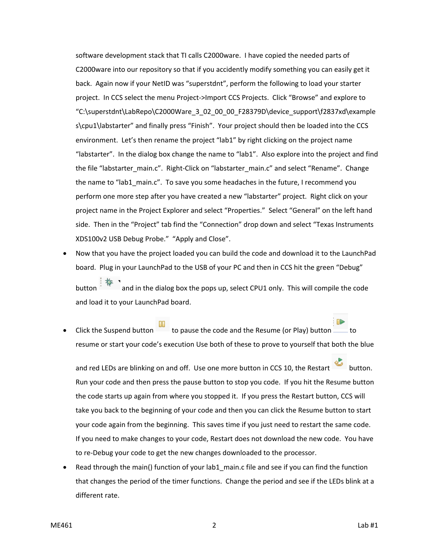software development stack that TI calls C2000ware. I have copied the needed parts of C2000ware into our repository so that if you accidently modify something you can easily get it back. Again now if your NetID was "superstdnt", perform the following to load your starter project. In CCS select the menu Project->Import CCS Projects. Click "Browse" and explore to "C:\superstdnt\LabRepo\C2000Ware\_3\_02\_00\_00\_F28379D\device\_support\f2837xd\example s\cpu1\labstarter" and finally press "Finish". Your project should then be loaded into the CCS environment. Let's then rename the project "lab1" by right clicking on the project name "labstarter". In the dialog box change the name to "lab1". Also explore into the project and find the file "labstarter\_main.c". Right-Click on "labstarter\_main.c" and select "Rename". Change the name to "lab1 main.c". To save you some headaches in the future, I recommend you perform one more step after you have created a new "labstarter" project. Right click on your project name in the Project Explorer and select "Properties." Select "General" on the left hand side. Then in the "Project" tab find the "Connection" drop down and select "Texas Instruments XDS100v2 USB Debug Probe." "Apply and Close".

- Now that you have the project loaded you can build the code and download it to the LaunchPad board. Plug in your LaunchPad to the USB of your PC and then in CCS hit the green "Debug" button and in the dialog box the pops up, select CPU1 only. This will compile the code and load it to your LaunchPad board.
- external click the Suspend button to pause the code and the Resume (or Play) button  $\Box$  to resume or start your code's execution Use both of these to prove to yourself that both the blue

and red LEDs are blinking on and off. Use one more button in CCS 10, the Restart button. Run your code and then press the pause button to stop you code. If you hit the Resume button the code starts up again from where you stopped it. If you press the Restart button, CCS will take you back to the beginning of your code and then you can click the Resume button to start your code again from the beginning. This saves time if you just need to restart the same code. If you need to make changes to your code, Restart does not download the new code. You have to re-Debug your code to get the new changes downloaded to the processor.

Read through the main() function of your lab1 main.c file and see if you can find the function that changes the period of the timer functions. Change the period and see if the LEDs blink at a different rate.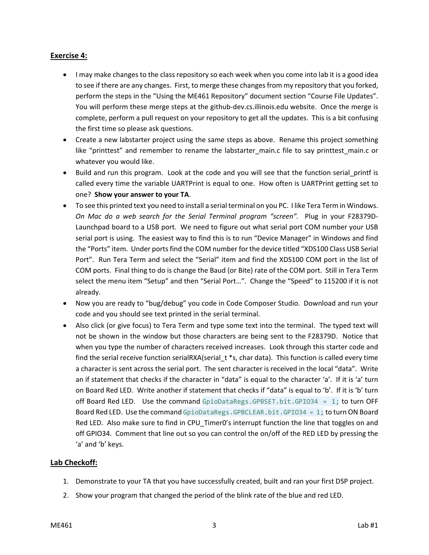# **Exercise 4:**

- I may make changes to the class repository so each week when you come into lab it is a good idea to see if there are any changes. First, to merge these changes from my repository that you forked, perform the steps in the "Using the ME461 Repository" document section "Course File Updates". You will perform these merge steps at the github-dev.cs.illinois.edu website. Once the merge is complete, perform a pull request on your repository to get all the updates. This is a bit confusing the first time so please ask questions.
- Create a new labstarter project using the same steps as above. Rename this project something like "printtest" and remember to rename the labstarter main.c file to say printtest main.c or whatever you would like.
- Build and run this program. Look at the code and you will see that the function serial printf is called every time the variable UARTPrint is equal to one. How often is UARTPrint getting set to one? **Show your answer to your TA**.
- To see this printed text you need to install a serial terminal on you PC. I like Tera Term in Windows. *On Mac do a web search for the Serial Terminal program "screen".* Plug in your F28379D-Launchpad board to a USB port. We need to figure out what serial port COM number your USB serial port is using. The easiest way to find this is to run "Device Manager" in Windows and find the "Ports" item. Under ports find the COM number for the device titled "XDS100 Class USB Serial Port". Run Tera Term and select the "Serial" item and find the XDS100 COM port in the list of COM ports. Final thing to do is change the Baud (or Bite) rate of the COM port. Still in Tera Term select the menu item "Setup" and then "Serial Port…". Change the "Speed" to 115200 if it is not already.
- Now you are ready to "bug/debug" you code in Code Composer Studio. Download and run your code and you should see text printed in the serial terminal.
- Also click (or give focus) to Tera Term and type some text into the terminal. The typed text will not be shown in the window but those characters are being sent to the F28379D. Notice that when you type the number of characters received increases. Look through this starter code and find the serial receive function serialRXA(serial\_t \*s, char data). This function is called every time a character is sent across the serial port. The sent character is received in the local "data". Write an if statement that checks if the character in "data" is equal to the character 'a'. If it is 'a' turn on Board Red LED. Write another if statement that checks if "data" is equal to 'b'. If it is 'b' turn off Board Red LED. Use the command GpioDataRegs.GPBSET.bit.GPI034 = 1; to turn OFF Board Red LED. Use the command GpioDataRegs.GPBCLEAR.bit.GPIO34 = 1; to turn ON Board Red LED. Also make sure to find in CPU Timer0's interrupt function the line that toggles on and off GPIO34. Comment that line out so you can control the on/off of the RED LED by pressing the 'a' and 'b' keys.

# **Lab Checkoff:**

- 1. Demonstrate to your TA that you have successfully created, built and ran your first DSP project.
- 2. Show your program that changed the period of the blink rate of the blue and red LED.